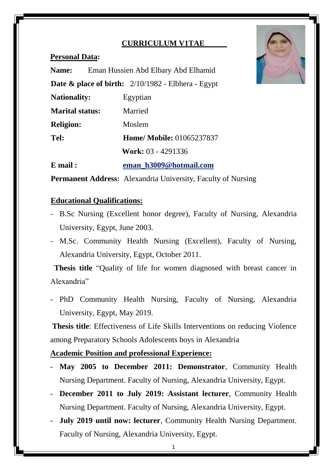# **CURRICULUM V1TAE**



| <b>Name:</b>                                                    | Eman Hussien Abd Elbary Abd Elhamid |
|-----------------------------------------------------------------|-------------------------------------|
| <b>Date &amp; place of birth:</b> $2/10/1982$ - Elbhera - Egypt |                                     |
| <b>Nationality:</b>                                             | Egyptian                            |
| <b>Marital status:</b>                                          | Married                             |
| <b>Religion:</b>                                                | Moslem                              |
| Tel:                                                            | <b>Home/ Mobile: 01065237837</b>    |
|                                                                 | <b>Work:</b> 03 - 4291336           |
| $E$ mail:                                                       | eman h3009@hotmail.com              |

**Permanent Address:** Alexandria University, Faculty of Nursing

### **Educational Qualifications:**

**Personal Data:**

- B.Sc Nursing (Excellent honor degree), Faculty of Nursing, Alexandria University, Egypt, June 2003.
- M.Sc. Community Health Nursing (Excellent), Faculty of Nursing, Alexandria University, Egypt, October 2011.

 **Thesis title** "Quality of life for women diagnosed with breast cancer in Alexandria"

- PhD Community Health Nursing, Faculty of Nursing, Alexandria University, Egypt, May 2019.

**Thesis title**: Effectiveness of Life Skills Interventions on reducing Violence among Preparatory Schools Adolescents boys in Alexandria

**Academic Position and professional Experience:**

- **May 2005 to December 2011: Demonstrator**, Community Health Nursing Department. Faculty of Nursing, Alexandria University, Egypt.
- **December 2011 to July 2019: Assistant lecturer**, Community Health Nursing Department. Faculty of Nursing, Alexandria University, Egypt.
- **July 2019 until now: lecturer**, Community Health Nursing Department. Faculty of Nursing, Alexandria University, Egypt.

1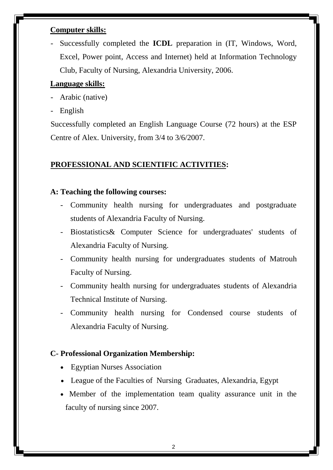### **Computer skills:**

- Successfully completed the **ICDL** preparation in (IT, Windows, Word, Excel, Power point, Access and Internet) held at Information Technology Club, Faculty of Nursing, Alexandria University, 2006.

# **Language skills:**

- Arabic (native)
- English

Successfully completed an English Language Course (72 hours) at the ESP Centre of Alex. University, from 3/4 to 3/6/2007.

# **PROFESSIONAL AND SCIENTIFIC ACTIVITIES:**

### **A: Teaching the following courses:**

- Community health nursing for undergraduates and postgraduate students of Alexandria Faculty of Nursing.
- Biostatistics& Computer Science for undergraduates' students of Alexandria Faculty of Nursing.
- Community health nursing for undergraduates students of Matrouh Faculty of Nursing.
- Community health nursing for undergraduates students of Alexandria Technical Institute of Nursing.
- Community health nursing for Condensed course students of Alexandria Faculty of Nursing.

# **C- Professional Organization Membership:**

- Egyptian Nurses Association
- League of the Faculties of Nursing Graduates, Alexandria, Egypt
- Member of the implementation team quality assurance unit in the faculty of nursing since 2007.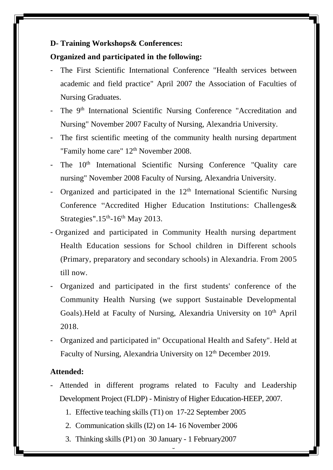#### **D- Training Workshops& Conferences:**

#### **Organized and participated in the following:**

- The First Scientific International Conference "Health services between academic and field practice" April 2007 the Association of Faculties of Nursing Graduates.
- The 9<sup>th</sup> International Scientific Nursing Conference "Accreditation and Nursing" November 2007 Faculty of Nursing, Alexandria University.
- The first scientific meeting of the community health nursing department "Family home care"  $12<sup>th</sup>$  November 2008.
- The 10<sup>th</sup> International Scientific Nursing Conference "Quality care nursing" November 2008 Faculty of Nursing, Alexandria University.
- Organized and participated in the  $12<sup>th</sup>$  International Scientific Nursing Conference "Accredited Higher Education Institutions: Challenges& Strategies". $15<sup>th</sup>$ -16<sup>th</sup> May 2013.
- Organized and participated in Community Health nursing department Health Education sessions for School children in Different schools (Primary, preparatory and secondary schools) in Alexandria. From 2005 till now.
- Organized and participated in the first students' conference of the Community Health Nursing (we support Sustainable Developmental Goals). Held at Faculty of Nursing, Alexandria University on 10<sup>th</sup> April 2018.
- Organized and participated in" Occupational Health and Safety". Held at Faculty of Nursing, Alexandria University on 12<sup>th</sup> December 2019.

### **Attended:**

Attended in different programs related to Faculty and Leadership Development Project (FLDP) - Ministry of Higher Education-HEEP, 2007.

 $\overline{a}$ 

- 1. Effective teaching skills (T1) on 17-22 September 2005
- 2. Communication skills (I2) on 14- 16 November 2006
- 3. Thinking skills (P1) on 30 January 1 February2007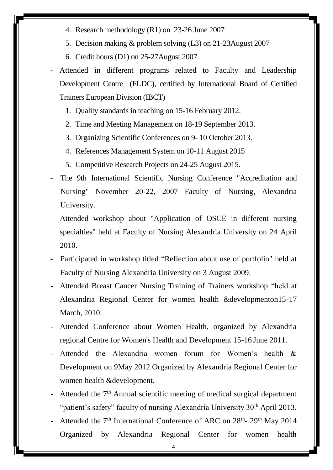- 4. Research methodology (R1) on 23-26 June 2007
- 5. Decision making & problem solving (L3) on 21-23August 2007
- 6. Credit hours (D1) on 25-27August 2007
- Attended in different programs related to Faculty and Leadership Development Centre (FLDC), certified by International Board of Certified Trainers European Division (IBCT)
	- 1. Quality standards in teaching on 15-16 February 2012.
	- 2. Time and Meeting Management on 18-19 September 2013.
	- 3. Organizing Scientific Conferences on 9- 10 October 2013.
	- 4. References Management System on 10-11 August 2015
	- 5. Competitive Research Projects on 24-25 August 2015.
- The 9th International Scientific Nursing Conference "Accreditation and Nursing" November 20-22, 2007 Faculty of Nursing, Alexandria University.
- Attended workshop about "Application of OSCE in different nursing specialties" held at Faculty of Nursing Alexandria University on 24 April 2010.
- Participated in workshop titled "Reflection about use of portfolio" held at Faculty of Nursing Alexandria University on 3 August 2009.
- Attended Breast Cancer Nursing Training of Trainers workshop "held at Alexandria Regional Center for women health &developmenton15-17 March, 2010.
- Attended Conference about Women Health, organized by Alexandria regional Centre for Women's Health and Development 15-16 June 2011.
- Attended the Alexandria women forum for Women's health & Development on 9May 2012 Organized by Alexandria Regional Center for women health &development.
- Attended the  $7<sup>th</sup>$  Annual scientific meeting of medical surgical department "patient's safety" faculty of nursing Alexandria University 30<sup>th</sup> April 2013.
- Attended the  $7<sup>th</sup>$  International Conference of ARC on  $28<sup>th</sup>$   $29<sup>th</sup>$  May 2014 Organized by Alexandria Regional Center for women health